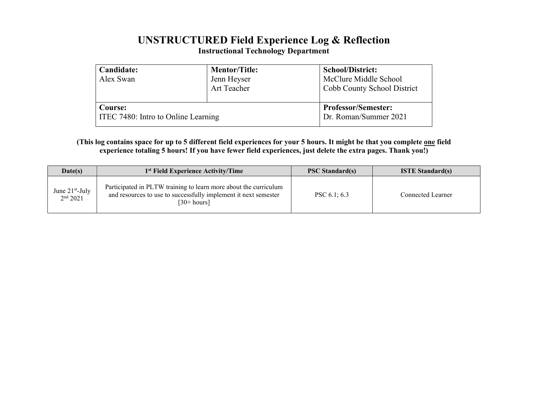## **UNSTRUCTURED Field Experience Log & Reflection Instructional Technology Department**

| Candidate:<br>Alex Swan             | <b>Mentor/Title:</b><br>Jenn Heyser<br>Art Teacher | <b>School/District:</b><br>McClure Middle School<br>Cobb County School District |  |  |
|-------------------------------------|----------------------------------------------------|---------------------------------------------------------------------------------|--|--|
| Course:                             |                                                    | <b>Professor/Semester:</b>                                                      |  |  |
| ITEC 7480: Intro to Online Learning |                                                    | Dr. Roman/Summer 2021                                                           |  |  |

## **(This log contains space for up to 5 different field experiences for your 5 hours. It might be that you complete one field experience totaling 5 hours! If you have fewer field experiences, just delete the extra pages. Thank you!)**

| Date(s)                                   | 1 <sup>st</sup> Field Experience Activity/Time                                                                                                     | <b>PSC Standard(s)</b> | <b>ISTE Standard(s)</b> |  |  |
|-------------------------------------------|----------------------------------------------------------------------------------------------------------------------------------------------------|------------------------|-------------------------|--|--|
| June $21st$ -July<br>2 <sup>nd</sup> 2021 | Participated in PLTW training to learn more about the curriculum<br>and resources to use to successfully implement it next semester<br>[30+ hours] | PSC $6.1:6.3$          | Connected Learner       |  |  |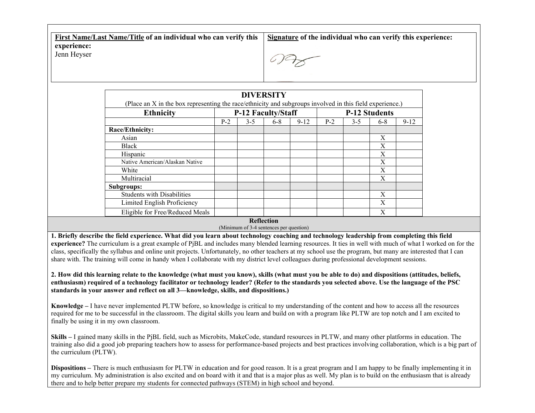**First Name/Last Name/Title of an individual who can verify this experience:** Jenn Heyser **Signature of the individual who can verify this experience:**

| (Place an X in the box representing the race/ethnicity and subgroups involved in this field experience.) |                    |         | <b>DIVERSITY</b> |                      |       |         |       |          |
|----------------------------------------------------------------------------------------------------------|--------------------|---------|------------------|----------------------|-------|---------|-------|----------|
| <b>Ethnicity</b>                                                                                         | P-12 Faculty/Staff |         |                  | <b>P-12 Students</b> |       |         |       |          |
|                                                                                                          | $P-2$              | $3 - 5$ | $6 - 8$          | $9 - 12$             | $P-2$ | $3 - 5$ | $6-8$ | $9 - 12$ |
| Race/Ethnicity:                                                                                          |                    |         |                  |                      |       |         |       |          |
| Asian                                                                                                    |                    |         |                  |                      |       |         | X     |          |
| Black                                                                                                    |                    |         |                  |                      |       |         | Х     |          |
| Hispanic                                                                                                 |                    |         |                  |                      |       |         | X     |          |
| Native American/Alaskan Native                                                                           |                    |         |                  |                      |       |         | X     |          |
| White                                                                                                    |                    |         |                  |                      |       |         | X     |          |
| Multiracial                                                                                              |                    |         |                  |                      |       |         | X     |          |
| <b>Subgroups:</b>                                                                                        |                    |         |                  |                      |       |         |       |          |
| <b>Students with Disabilities</b>                                                                        |                    |         |                  |                      |       |         | X     |          |
| Limited English Proficiency                                                                              |                    |         |                  |                      |       |         | X     |          |
| Eligible for Free/Reduced Meals                                                                          |                    |         |                  |                      |       |         | X     |          |

**Reflection**

(Minimum of 3-4 sentences per question)

**1. Briefly describe the field experience. What did you learn about technology coaching and technology leadership from completing this field experience?** The curriculum is a great example of PjBL and includes many blended learning resources. It ties in well with much of what I worked on for the class, specifically the syllabus and online unit projects. Unfortunately, no other teachers at my school use the program, but many are interested that I can share with. The training will come in handy when I collaborate with my district level colleagues during professional development sessions.

**2. How did this learning relate to the knowledge (what must you know), skills (what must you be able to do) and dispositions (attitudes, beliefs, enthusiasm) required of a technology facilitator or technology leader? (Refer to the standards you selected above. Use the language of the PSC standards in your answer and reflect on all 3—knowledge, skills, and dispositions.)**

**Knowledge –** I have never implemented PLTW before, so knowledge is critical to my understanding of the content and how to access all the resources required for me to be successful in the classroom. The digital skills you learn and build on with a program like PLTW are top notch and I am excited to finally be using it in my own classroom.

**Skills –** I gained many skills in the PjBL field, such as Microbits, MakeCode, standard resources in PLTW, and many other platforms in education. The training also did a good job preparing teachers how to assess for performance-based projects and best practices involving collaboration, which is a big part of the curriculum (PLTW).

**Dispositions** – There is much enthusiasm for PLTW in education and for good reason. It is a great program and I am happy to be finally implementing it in my curriculum. My administration is also excited and on board with it and that is a major plus as well. My plan is to build on the enthusiasm that is already there and to help better prepare my students for connected pathways (STEM) in high school and beyond.